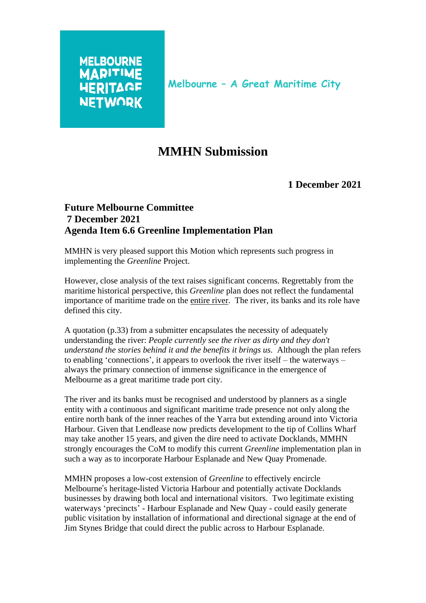## **MELBOURNE MARITIME HERITAGE NETWORK**

## **MMHN Submission**

**1 December 2021** 

## **Future Melbourne Committee 7 December 2021 Agenda Item 6.6 Greenline Implementation Plan**

MMHN is very pleased support this Motion which represents such progress in implementing the *Greenline* Project.

However, close analysis of the text raises significant concerns. Regrettably from the maritime historical perspective, this *Greenline* plan does not reflect the fundamental importance of maritime trade on the entire river. The river, its banks and its role have defined this city.

A quotation (p.33) from a submitter encapsulates the necessity of adequately understanding the river: *People currently see the river as dirty and they don't understand the stories behind it and the benefits it brings us.* Although the plan refers to enabling 'connections', it appears to overlook the river itself – the waterways – always the primary connection of immense significance in the emergence of Melbourne as a great maritime trade port city.

The river and its banks must be recognised and understood by planners as a single entity with a continuous and significant maritime trade presence not only along the entire north bank of the inner reaches of the Yarra but extending around into Victoria Harbour. Given that Lendlease now predicts development to the tip of Collins Wharf may take another 15 years, and given the dire need to activate Docklands, MMHN strongly encourages the CoM to modify this current *Greenline* implementation plan in such a way as to incorporate Harbour Esplanade and New Quay Promenade.

MMHN proposes a low-cost extension of *Greenline* to effectively encircle Melbourne's heritage-listed Victoria Harbour and potentially activate Docklands businesses by drawing both local and international visitors. Two legitimate existing waterways 'precincts' - Harbour Esplanade and New Quay - could easily generate public visitation by installation of informational and directional signage at the end of Jim Stynes Bridge that could direct the public across to Harbour Esplanade.